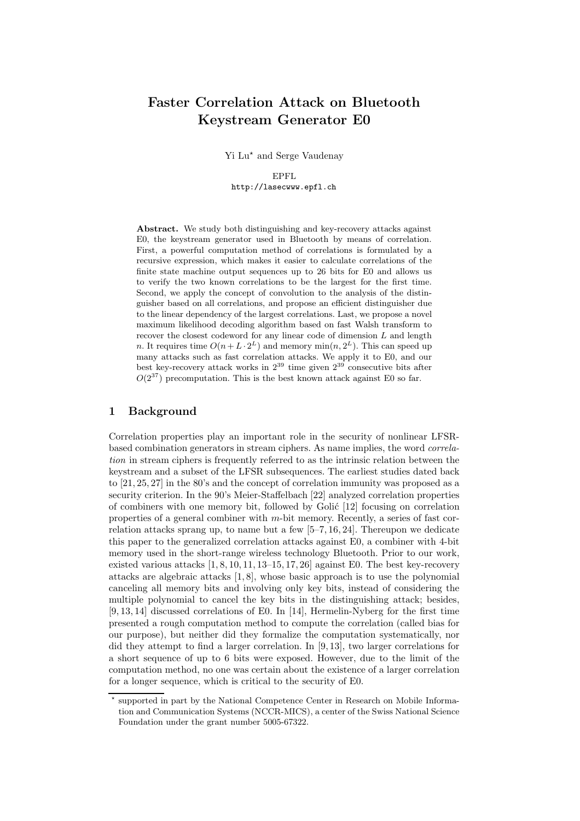# Faster Correlation Attack on Bluetooth Keystream Generator E0

Yi Lu<sup>\*</sup> and Serge Vaudenay

EPFL http://lasecwww.epfl.ch

Abstract. We study both distinguishing and key-recovery attacks against E0, the keystream generator used in Bluetooth by means of correlation. First, a powerful computation method of correlations is formulated by a recursive expression, which makes it easier to calculate correlations of the finite state machine output sequences up to 26 bits for E0 and allows us to verify the two known correlations to be the largest for the first time. Second, we apply the concept of convolution to the analysis of the distinguisher based on all correlations, and propose an efficient distinguisher due to the linear dependency of the largest correlations. Last, we propose a novel maximum likelihood decoding algorithm based on fast Walsh transform to recover the closest codeword for any linear code of dimension L and length n. It requires time  $O(n + L \cdot 2^L)$  and memory  $\min(n, 2^L)$ . This can speed up many attacks such as fast correlation attacks. We apply it to E0, and our best key-recovery attack works in  $2^{39}$  time given  $2^{39}$  consecutive bits after  $O(2^{37})$  precomputation. This is the best known attack against E0 so far.

# 1 Background

Correlation properties play an important role in the security of nonlinear LFSRbased combination generators in stream ciphers. As name implies, the word correlation in stream ciphers is frequently referred to as the intrinsic relation between the keystream and a subset of the LFSR subsequences. The earliest studies dated back to [21, 25, 27] in the 80's and the concept of correlation immunity was proposed as a security criterion. In the 90's Meier-Staffelbach [22] analyzed correlation properties of combiners with one memory bit, followed by Golić  $[12]$  focusing on correlation properties of a general combiner with m-bit memory. Recently, a series of fast correlation attacks sprang up, to name but a few [5–7, 16, 24]. Thereupon we dedicate this paper to the generalized correlation attacks against E0, a combiner with 4-bit memory used in the short-range wireless technology Bluetooth. Prior to our work, existed various attacks  $[1, 8, 10, 11, 13–15, 17, 26]$  against E0. The best key-recovery attacks are algebraic attacks [1, 8], whose basic approach is to use the polynomial canceling all memory bits and involving only key bits, instead of considering the multiple polynomial to cancel the key bits in the distinguishing attack; besides, [9, 13, 14] discussed correlations of E0. In [14], Hermelin-Nyberg for the first time presented a rough computation method to compute the correlation (called bias for our purpose), but neither did they formalize the computation systematically, nor did they attempt to find a larger correlation. In [9, 13], two larger correlations for a short sequence of up to 6 bits were exposed. However, due to the limit of the computation method, no one was certain about the existence of a larger correlation for a longer sequence, which is critical to the security of E0.

<sup>?</sup> supported in part by the National Competence Center in Research on Mobile Information and Communication Systems (NCCR-MICS), a center of the Swiss National Science Foundation under the grant number 5005-67322.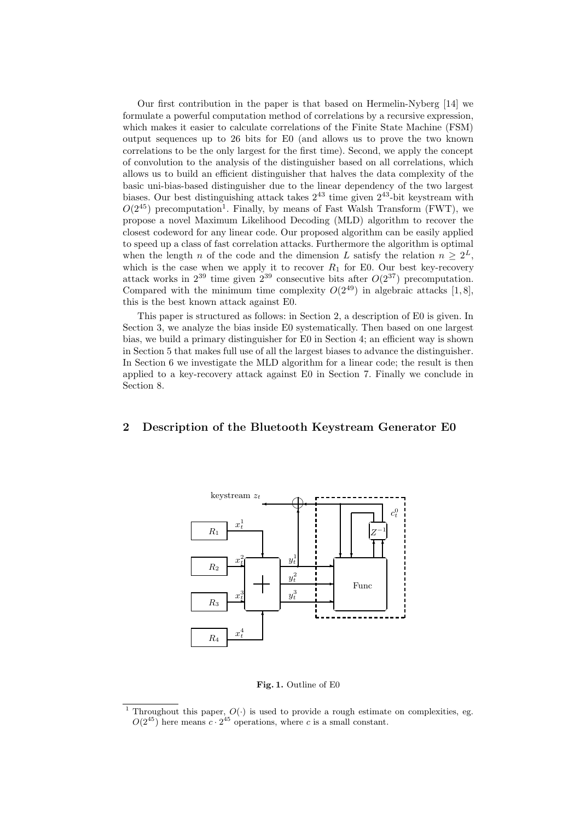Our first contribution in the paper is that based on Hermelin-Nyberg [14] we formulate a powerful computation method of correlations by a recursive expression, which makes it easier to calculate correlations of the Finite State Machine (FSM) output sequences up to 26 bits for E0 (and allows us to prove the two known correlations to be the only largest for the first time). Second, we apply the concept of convolution to the analysis of the distinguisher based on all correlations, which allows us to build an efficient distinguisher that halves the data complexity of the basic uni-bias-based distinguisher due to the linear dependency of the two largest biases. Our best distinguishing attack takes 2 <sup>43</sup> time given 2 <sup>43</sup>-bit keystream with  $O(2^{45})$  precomputation<sup>1</sup>. Finally, by means of Fast Walsh Transform (FWT), we propose a novel Maximum Likelihood Decoding (MLD) algorithm to recover the closest codeword for any linear code. Our proposed algorithm can be easily applied to speed up a class of fast correlation attacks. Furthermore the algorithm is optimal when the length n of the code and the dimension L satisfy the relation  $n \geq 2^L$ , which is the case when we apply it to recover  $R_1$  for E0. Our best key-recovery attack works in  $2^{39}$  time given  $2^{39}$  consecutive bits after  $O(2^{37})$  precomputation. Compared with the minimum time complexity  $O(2^{49})$  in algebraic attacks [1,8], this is the best known attack against E0.

This paper is structured as follows: in Section 2, a description of E0 is given. In Section 3, we analyze the bias inside E0 systematically. Then based on one largest bias, we build a primary distinguisher for E0 in Section 4; an efficient way is shown in Section 5 that makes full use of all the largest biases to advance the distinguisher. In Section 6 we investigate the MLD algorithm for a linear code; the result is then applied to a key-recovery attack against E0 in Section 7. Finally we conclude in Section 8.

# 2 Description of the Bluetooth Keystream Generator E0



Fig. 1. Outline of E0

Throughout this paper,  $O(\cdot)$  is used to provide a rough estimate on complexities, eg.  $O(2^{45})$  here means  $c \cdot 2^{45}$  operations, where c is a small constant.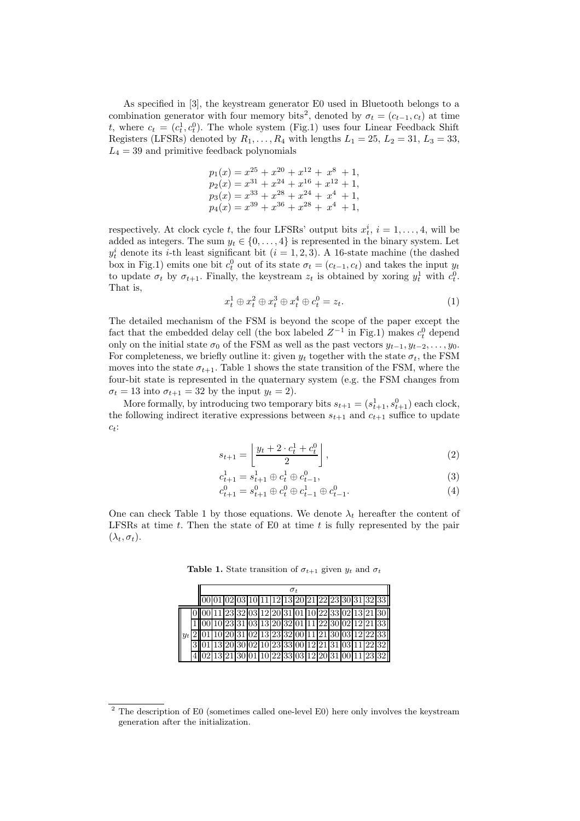As specified in [3], the keystream generator E0 used in Bluetooth belongs to a combination generator with four memory bits<sup>2</sup>, denoted by  $\sigma_t = (c_{t-1}, c_t)$  at time t, where  $c_t = (c_t^1, c_t^0)$ . The whole system (Fig.1) uses four Linear Feedback Shift Registers (LFSRs) denoted by  $R_1, \ldots, R_4$  with lengths  $L_1 = 25, L_2 = 31, L_3 = 33,$  $L_4 = 39$  and primitive feedback polynomials

$$
p_1(x) = x^{25} + x^{20} + x^{12} + x^8 + 1,
$$
  
\n
$$
p_2(x) = x^{31} + x^{24} + x^{16} + x^{12} + 1,
$$
  
\n
$$
p_3(x) = x^{33} + x^{28} + x^{24} + x^4 + 1,
$$
  
\n
$$
p_4(x) = x^{39} + x^{36} + x^{28} + x^4 + 1,
$$

respectively. At clock cycle t, the four LFSRs' output bits  $x_t^i$ ,  $i = 1, ..., 4$ , will be added as integers. The sum  $y_t \in \{0, \ldots, 4\}$  is represented in the binary system. Let  $y_t^i$  denote its *i*-th least significant bit  $(i = 1, 2, 3)$ . A 16-state machine (the dashed box in Fig.1) emits one bit  $c_t^0$  out of its state  $\sigma_t = (c_{t-1}, c_t)$  and takes the input  $y_t$ to update  $\sigma_t$  by  $\sigma_{t+1}$ . Finally, the keystream  $z_t$  is obtained by xoring  $y_t^1$  with  $c_t^0$ . That is,

$$
x_t^1 \oplus x_t^2 \oplus x_t^3 \oplus x_t^4 \oplus c_t^0 = z_t. \tag{1}
$$

The detailed mechanism of the FSM is beyond the scope of the paper except the fact that the embedded delay cell (the box labeled  $Z^{-1}$  in Fig.1) makes  $c_t^0$  depend only on the initial state  $\sigma_0$  of the FSM as well as the past vectors  $y_{t-1}, y_{t-2}, \ldots, y_0$ . For completeness, we briefly outline it: given  $y_t$  together with the state  $\sigma_t$ , the FSM moves into the state  $\sigma_{t+1}$ . Table 1 shows the state transition of the FSM, where the four-bit state is represented in the quaternary system (e.g. the FSM changes from  $\sigma_t = 13$  into  $\sigma_{t+1} = 32$  by the input  $y_t = 2$ ).

More formally, by introducing two temporary bits  $s_{t+1} = (s_{t+1}^1, s_{t+1}^0)$  each clock, the following indirect iterative expressions between  $s_{t+1}$  and  $c_{t+1}$  suffice to update  $c_t$ :

$$
s_{t+1} = \left\lfloor \frac{y_t + 2 \cdot c_t^1 + c_t^0}{2} \right\rfloor,\tag{2}
$$

$$
c_{t+1}^1 = s_{t+1}^1 \oplus c_t^1 \oplus c_{t-1}^0,\tag{3}
$$

$$
c_{t+1}^0 = s_{t+1}^0 \oplus c_t^0 \oplus c_{t-1}^1 \oplus c_{t-1}^0.
$$
 (4)

One can check Table 1 by those equations. We denote  $\lambda_t$  hereafter the content of LFSRs at time  $t$ . Then the state of E0 at time  $t$  is fully represented by the pair  $(\lambda_t, \sigma_t).$ 

**Table 1.** State transition of  $\sigma_{t+1}$  given  $y_t$  and  $\sigma_t$ 

|       |  | $\sigma_{t}$<br>00 01 02 03 10 11 12 13 20 21 22 23 30 31 32 33 |  |  |  |  |  |  |  |  |  |  |  |  |  |                                                                   |
|-------|--|-----------------------------------------------------------------|--|--|--|--|--|--|--|--|--|--|--|--|--|-------------------------------------------------------------------|
|       |  |                                                                 |  |  |  |  |  |  |  |  |  |  |  |  |  |                                                                   |
|       |  |                                                                 |  |  |  |  |  |  |  |  |  |  |  |  |  | $0  00 11 23 32 03 12 20 31 01 10 22 33 02 13 21 30  $            |
|       |  |                                                                 |  |  |  |  |  |  |  |  |  |  |  |  |  | $\frac{1}{100}$ 10 23 31 03 13 20 32 01 11 22 30 02 12 21 33      |
| $y_t$ |  |                                                                 |  |  |  |  |  |  |  |  |  |  |  |  |  | 2 01 10 20 31 02 13 23 32 00 11 21 30 03 12 22 33                 |
|       |  |                                                                 |  |  |  |  |  |  |  |  |  |  |  |  |  | 3 01 13 20 30 02 10 23 33 00 12 21 31 03 11 22 32                 |
|       |  |                                                                 |  |  |  |  |  |  |  |  |  |  |  |  |  | 4  02  13  21  30  01  10  22  33  03  12  20  31  00  11  23  32 |

 $2$  The description of E0 (sometimes called one-level E0) here only involves the keystream generation after the initialization.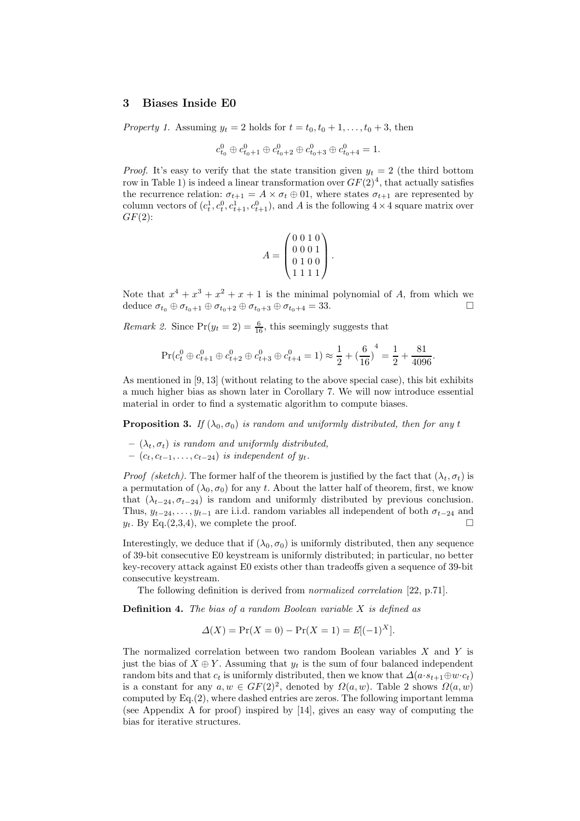## 3 Biases Inside E0

Property 1. Assuming  $y_t = 2$  holds for  $t = t_0, t_0 + 1, \ldots, t_0 + 3$ , then

$$
c_{t_0}^0 \oplus c_{t_0+1}^0 \oplus c_{t_0+2}^0 \oplus c_{t_0+3}^0 \oplus c_{t_0+4}^0 = 1.
$$

*Proof.* It's easy to verify that the state transition given  $y_t = 2$  (the third bottom row in Table 1) is indeed a linear transformation over  $GF(2)<sup>4</sup>$ , that actually satisfies the recurrence relation:  $\sigma_{t+1} = A \times \sigma_t \oplus 01$ , where states  $\sigma_{t+1}$  are represented by column vectors of  $(c_t^1, c_t^0, c_{t+1}^1, c_{t+1}^0)$ , and A is the following  $4 \times 4$  square matrix over  $GF(2)$ :

$$
A = \begin{pmatrix} 0 & 0 & 1 & 0 \\ 0 & 0 & 0 & 1 \\ 0 & 1 & 0 & 0 \\ 1 & 1 & 1 & 1 \end{pmatrix}.
$$

Note that  $x^4 + x^3 + x^2 + x + 1$  is the minimal polynomial of A, from which we deduce  $\sigma_{t_0} \oplus \sigma_{t_0+1} \oplus \sigma_{t_0+2} \oplus \sigma_{t_0+3} \oplus \sigma_{t_0+4} = 33.$ 

*Remark 2.* Since  $Pr(y_t = 2) = \frac{6}{16}$ , this seemingly suggests that

$$
Pr(c_t^0 \oplus c_{t+1}^0 \oplus c_{t+2}^0 \oplus c_{t+3}^0 \oplus c_{t+4}^0 = 1) \approx \frac{1}{2} + \left(\frac{6}{16}\right)^4 = \frac{1}{2} + \frac{81}{4096}
$$

.

As mentioned in [9, 13] (without relating to the above special case), this bit exhibits a much higher bias as shown later in Corollary 7. We will now introduce essential material in order to find a systematic algorithm to compute biases.

**Proposition 3.** If  $(\lambda_0, \sigma_0)$  is random and uniformly distributed, then for any t

- $(\lambda_t, \sigma_t)$  is random and uniformly distributed,
- $(c_t, c_{t-1}, \ldots, c_{t-24})$  is independent of  $y_t$ .

*Proof (sketch)*. The former half of the theorem is justified by the fact that  $(\lambda_t, \sigma_t)$  is a permutation of  $(\lambda_0, \sigma_0)$  for any t. About the latter half of theorem, first, we know that  $(\lambda_{t-24}, \sigma_{t-24})$  is random and uniformly distributed by previous conclusion. Thus,  $y_{t-24}, \ldots, y_{t-1}$  are i.i.d. random variables all independent of both  $\sigma_{t-24}$  and  $y_t$ . By Eq.(2,3,4), we complete the proof.

Interestingly, we deduce that if  $(\lambda_0, \sigma_0)$  is uniformly distributed, then any sequence of 39-bit consecutive E0 keystream is uniformly distributed; in particular, no better key-recovery attack against E0 exists other than tradeoffs given a sequence of 39-bit consecutive keystream.

The following definition is derived from normalized correlation [22, p.71].

**Definition 4.** The bias of a random Boolean variable  $X$  is defined as

$$
\Delta(X) = \Pr(X = 0) - \Pr(X = 1) = E[(-1)^X].
$$

The normalized correlation between two random Boolean variables X and Y is just the bias of  $X \oplus Y$ . Assuming that  $y_t$  is the sum of four balanced independent random bits and that  $c_t$  is uniformly distributed, then we know that  $\Delta(a \cdot s_{t+1} \oplus w \cdot c_t)$ is a constant for any  $a, w \in GF(2)^2$ , denoted by  $\Omega(a, w)$ . Table 2 shows  $\Omega(a, w)$ computed by Eq.(2), where dashed entries are zeros. The following important lemma (see Appendix A for proof) inspired by [14], gives an easy way of computing the bias for iterative structures.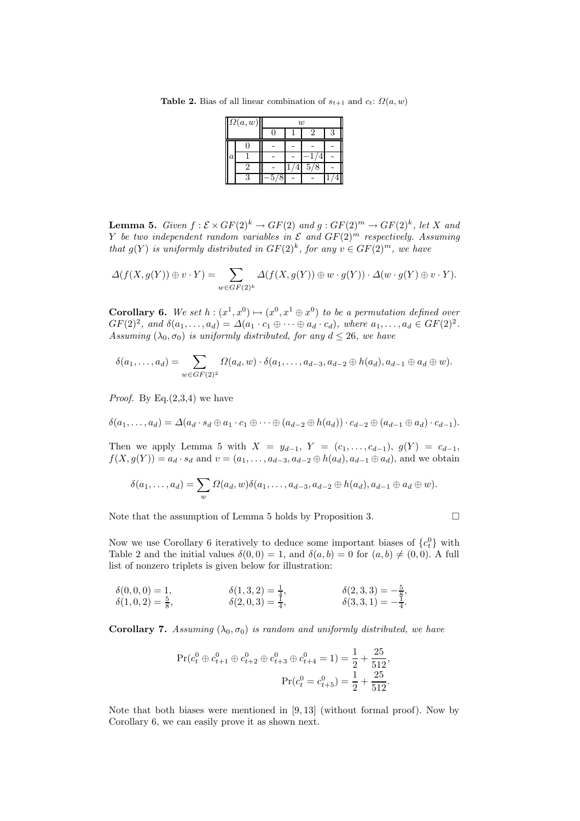Table 2. Bias of all linear combination of  $s_{t+1}$  and  $c_t$ :  $\Omega(a, w)$ 

|         | $\Omega(a,w)$ |        | w |     |  |
|---------|---------------|--------|---|-----|--|
|         |               |        |   |     |  |
|         |               |        |   |     |  |
| $\it a$ |               |        |   |     |  |
|         |               |        |   | 5/8 |  |
|         | Q             | C<br>ц |   |     |  |

**Lemma 5.** Given  $f : \mathcal{E} \times GF(2)^k \to GF(2)$  and  $g : GF(2)^m \to GF(2)^k$ , let X and Y be two independent random variables in  $\mathcal E$  and  $GF(2)^m$  respectively. Assuming that  $g(Y)$  is uniformly distributed in  $GF(2)^k$ , for any  $v \in GF(2)^m$ , we have

$$
\Delta(f(X,g(Y))\oplus v\cdot Y)=\sum_{w\in GF(2)^k}\Delta(f(X,g(Y))\oplus w\cdot g(Y))\cdot \Delta(w\cdot g(Y)\oplus v\cdot Y).
$$

**Corollary 6.** We set  $h : (x^1, x^0) \mapsto (x^0, x^1 \oplus x^0)$  to be a permutation defined over  $GF(2)<sup>2</sup>, and  $\delta(a_1, \ldots, a_d) = \Delta(a_1 \cdot c_1 \oplus \cdots \oplus a_d \cdot c_d), \text{ where } a_1, \ldots, a_d \in GF(2)<sup>2</sup>.$$ Assuming  $(\lambda_0, \sigma_0)$  is uniformly distributed, for any  $d \leq 26$ , we have

$$
\delta(a_1,\ldots,a_d)=\sum_{w\in GF(2)^2}\Omega(a_d,w)\cdot \delta(a_1,\ldots,a_{d-3},a_{d-2}\oplus h(a_d),a_{d-1}\oplus a_d\oplus w).
$$

*Proof.* By Eq. $(2,3,4)$  we have

$$
\delta(a_1,\ldots,a_d)=\Delta(a_d\cdot s_d\oplus a_1\cdot c_1\oplus\cdots\oplus(a_{d-2}\oplus h(a_d))\cdot c_{d-2}\oplus(a_{d-1}\oplus a_d)\cdot c_{d-1}).
$$

Then we apply Lemma 5 with  $X = y_{d-1}$ ,  $Y = (c_1, \ldots, c_{d-1}), g(Y) = c_{d-1}$ ,  $f(X, g(Y)) = a_d \cdot s_d$  and  $v = (a_1, \ldots, a_{d-3}, a_{d-2} \oplus h(a_d), a_{d-1} \oplus a_d)$ , and we obtain

$$
\delta(a_1,\ldots,a_d)=\sum_w\Omega(a_d,w)\delta(a_1,\ldots,a_{d-3},a_{d-2}\oplus h(a_d),a_{d-1}\oplus a_d\oplus w).
$$

Note that the assumption of Lemma 5 holds by Proposition 3.

Now we use Corollary 6 iteratively to deduce some important biases of  $\{c_t^0\}$  with Table 2 and the initial values  $\delta(0,0) = 1$ , and  $\delta(a, b) = 0$  for  $(a, b) \neq (0, 0)$ . A full list of nonzero triplets is given below for illustration:

$$
\begin{array}{ll}\n\delta(0,0,0) = 1, & \delta(1,3,2) = \frac{1}{4}, & \delta(2,3,3) = -\frac{5}{8}, \\
\delta(1,0,2) = \frac{5}{8}, & \delta(2,0,3) = \frac{1}{4}, & \delta(3,3,1) = -\frac{1}{4}.\n\end{array}
$$

**Corollary 7.** Assuming  $(\lambda_0, \sigma_0)$  is random and uniformly distributed, we have

$$
\begin{aligned} \Pr(c_t^0 \oplus c_{t+1}^0 \oplus c_{t+2}^0 \oplus c_{t+3}^0 \oplus c_{t+4}^0 = 1) &= \frac{1}{2} + \frac{25}{512}, \\ \Pr(c_t^0 = c_{t+5}^0) &= \frac{1}{2} + \frac{25}{512}. \end{aligned}
$$

Note that both biases were mentioned in [9, 13] (without formal proof). Now by Corollary 6, we can easily prove it as shown next.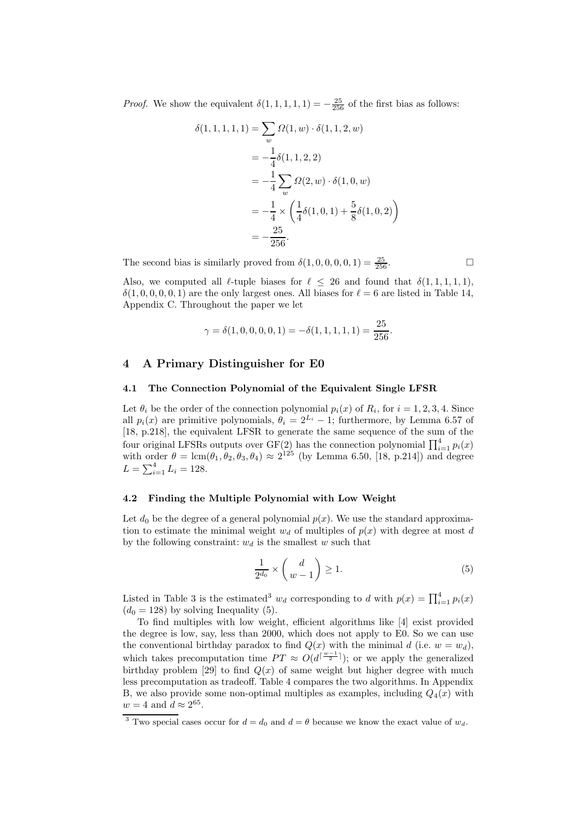*Proof.* We show the equivalent  $\delta(1, 1, 1, 1, 1) = -\frac{25}{256}$  of the first bias as follows:

$$
\delta(1, 1, 1, 1, 1) = \sum_{w} \Omega(1, w) \cdot \delta(1, 1, 2, w)
$$
  
=  $-\frac{1}{4} \delta(1, 1, 2, 2)$   
=  $-\frac{1}{4} \sum_{w} \Omega(2, w) \cdot \delta(1, 0, w)$   
=  $-\frac{1}{4} \times \left(\frac{1}{4} \delta(1, 0, 1) + \frac{5}{8} \delta(1, 0, 2)\right)$   
=  $-\frac{25}{256}$ .

The second bias is similarly proved from  $\delta(1,0,0,0,0,1) = \frac{25}{256}$ .

Also, we computed all  $\ell$ -tuple biases for  $\ell \leq 26$  and found that  $\delta(1, 1, 1, 1, 1)$ ,  $\delta(1, 0, 0, 0, 0, 1)$  are the only largest ones. All biases for  $\ell = 6$  are listed in Table 14, Appendix C. Throughout the paper we let

$$
\gamma = \delta(1, 0, 0, 0, 0, 1) = -\delta(1, 1, 1, 1, 1) = \frac{25}{256}.
$$

## 4 A Primary Distinguisher for E0

# 4.1 The Connection Polynomial of the Equivalent Single LFSR

Let  $\theta_i$  be the order of the connection polynomial  $p_i(x)$  of  $R_i$ , for  $i = 1, 2, 3, 4$ . Since all  $p_i(x)$  are primitive polynomials,  $\theta_i = 2^{L_i} - 1$ ; furthermore, by Lemma 6.57 of [18, p.218], the equivalent LFSR to generate the same sequence of the sum of the four original LFSRs outputs over GF(2) has the connection polynomial  $\prod_{i=1}^{4} p_i(x)$ with order  $\theta = \text{lcm}(\theta_1, \theta_2, \theta_3, \theta_4) \approx 2^{125}$  (by Lemma 6.50, [18, p.214]) and degree  $L = \sum_{i=1}^{4} L_i = 128.$ 

# 4.2 Finding the Multiple Polynomial with Low Weight

Let  $d_0$  be the degree of a general polynomial  $p(x)$ . We use the standard approximation to estimate the minimal weight  $w_d$  of multiples of  $p(x)$  with degree at most d by the following constraint:  $w_d$  is the smallest w such that

$$
\frac{1}{2^{d_0}} \times \binom{d}{w-1} \ge 1. \tag{5}
$$

Listed in Table 3 is the estimated<sup>3</sup>  $w_d$  corresponding to d with  $p(x) = \prod_{i=1}^4 p_i(x)$  $(d_0 = 128)$  by solving Inequality (5).

To find multiples with low weight, efficient algorithms like [4] exist provided the degree is low, say, less than 2000, which does not apply to E0. So we can use the conventional birthday paradox to find  $Q(x)$  with the minimal d (i.e.  $w = w_d$ ), which takes precomputation time  $PT \approx O(d^{\left[\frac{w-1}{2}\right]})$ ; or we apply the generalized birthday problem [29] to find  $Q(x)$  of same weight but higher degree with much less precomputation as tradeoff. Table 4 compares the two algorithms. In Appendix B, we also provide some non-optimal multiples as examples, including  $Q_4(x)$  with  $w = 4$  and  $d \approx 2^{65}$ .

<sup>&</sup>lt;sup>3</sup> Two special cases occur for  $d = d_0$  and  $d = \theta$  because we know the exact value of  $w_d$ .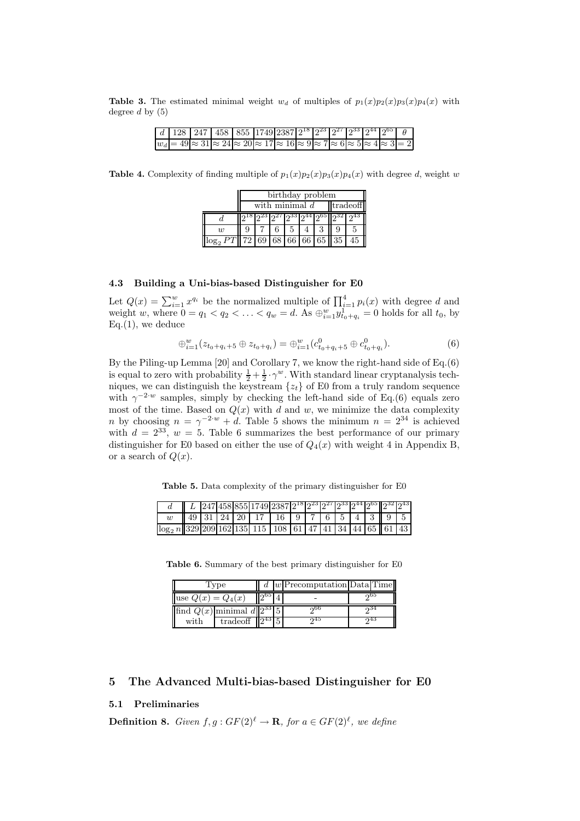Table 3. The estimated minimal weight  $w_d$  of multiples of  $p_1(x)p_2(x)p_3(x)p_4(x)$  with degree  $d$  by  $(5)$ 

|  |  |  | $d \mid 128 \mid 247 \mid 458 \mid 855 \mid 1749 \mid 2387 \mid 2^{18} \mid 2^{23} \mid 2^{27} \mid 2^{33} \mid 2^{44} \mid 2^{65} \mid \theta$ |  |  |  |  |
|--|--|--|-------------------------------------------------------------------------------------------------------------------------------------------------|--|--|--|--|
|  |  |  | $ w_d  = 49 \approx 31 \approx 24 \approx 20 \approx 17 \approx 16 \approx 9 \approx 7 \approx 6 \approx 5 \approx 4 \approx 3 = 2$             |  |  |  |  |

**Table 4.** Complexity of finding multiple of  $p_1(x)p_2(x)p_3(x)p_4(x)$  with degree d, weight w

|   | birthday problem             |                         |  |  |  |  |  |  |  |  |  |
|---|------------------------------|-------------------------|--|--|--|--|--|--|--|--|--|
|   | tradeoff<br>with minimal $d$ |                         |  |  |  |  |  |  |  |  |  |
|   |                              | 32] 927 933 944 965 932 |  |  |  |  |  |  |  |  |  |
| w |                              |                         |  |  |  |  |  |  |  |  |  |
|   | 69 68 66 66 65 35            |                         |  |  |  |  |  |  |  |  |  |

### 4.3 Building a Uni-bias-based Distinguisher for E0

Let  $Q(x) = \sum_{i=1}^{w} x^{q_i}$  be the normalized multiple of  $\prod_{i=1}^{4} p_i(x)$  with degree d and weight w, where  $0 = q_1 < q_2 < ... < q_w = d$ . As  $\bigoplus_{i=1}^{w} y_{t_0+q_i}^1 = 0$  holds for all  $t_0$ , by  $Eq.(1)$ , we deduce

$$
\oplus_{i=1}^{w} (z_{t_0+q_i+5} \oplus z_{t_0+q_i}) = \oplus_{i=1}^{w} (c_{t_0+q_i+5}^{0} \oplus c_{t_0+q_i}^{0}). \tag{6}
$$

By the Piling-up Lemma [20] and Corollary 7, we know the right-hand side of Eq.(6) is equal to zero with probability  $\frac{1}{2} + \frac{1}{2} \cdot \gamma^w$ . With standard linear cryptanalysis techniques, we can distinguish the keystream  $\{z_t\}$  of E0 from a truly random sequence with  $\gamma^{-2w}$  samples, simply by checking the left-hand side of Eq.(6) equals zero most of the time. Based on  $Q(x)$  with d and w, we minimize the data complexity *n* by choosing  $n = \gamma^{-2 \cdot w} + d$ . Table 5 shows the minimum  $n = 2^{34}$  is achieved with  $d = 2^{33}$ ,  $w = 5$ . Table 6 summarizes the best performance of our primary distinguisher for E0 based on either the use of  $Q_4(x)$  with weight 4 in Appendix B, or a search of  $Q(x)$ .

Table 5. Data complexity of the primary distinguisher for E0

|                                                                                  |  |  | L  247 458 855 1749 2387 2 <sup>18</sup>  2 <sup>23</sup>  2 <sup>27</sup>  2 <sup>33</sup>  2 <sup>44</sup>  2 <sup>65</sup>   2 <sup>32</sup>  2 <sup>43</sup> |  |  |  |  |  |
|----------------------------------------------------------------------------------|--|--|------------------------------------------------------------------------------------------------------------------------------------------------------------------|--|--|--|--|--|
|                                                                                  |  |  | $\parallel$ 49   31   24   20   17   16   9   7   6   5   4   3    9   5                                                                                         |  |  |  |  |  |
| $\log_2 n$   329 209 162 135  115   108   61   47   41   34   44   65    61   43 |  |  |                                                                                                                                                                  |  |  |  |  |  |

Table 6. Summary of the best primary distinguisher for E0

|                                    | Type                   |  | $d \mid w$ Precomputation Data Time |     |
|------------------------------------|------------------------|--|-------------------------------------|-----|
| use $Q(x) = Q_4(x)$                |                        |  |                                     | ინ5 |
| find $Q(x)$ minimal $d  2^{33} 5 $ |                        |  | ი66                                 |     |
| with                               | tradeoff $  2^{43}  5$ |  | ก45                                 | റ43 |

# 5 The Advanced Multi-bias-based Distinguisher for E0

# 5.1 Preliminaries

**Definition 8.** Given  $f, g: GF(2)^{\ell} \to \mathbf{R}$ , for  $a \in GF(2)^{\ell}$ , we define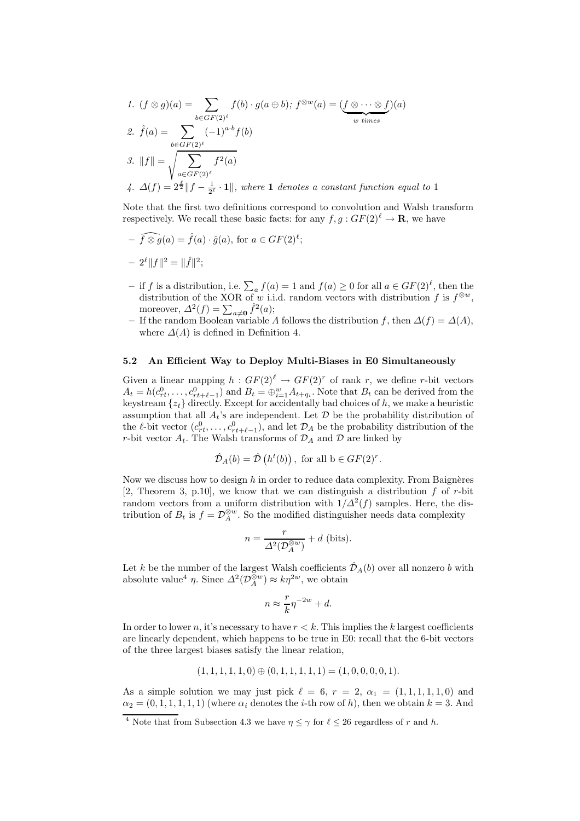1. 
$$
(f \otimes g)(a) = \sum_{b \in GF(2)^{\ell}} f(b) \cdot g(a \oplus b)
$$
;  $f^{\otimes w}(a) = (\underbrace{f \otimes \cdots \otimes f}_{w \text{ times}})(a)$   
\n2.  $\hat{f}(a) = \sum_{b \in GF(2)^{\ell}} (-1)^{a \cdot b} f(b)$   
\n3.  $||f|| = \sqrt{\sum_{a \in GF(2)^{\ell}} f^2(a)}$   
\n4.  $\Delta(f) = 2^{\frac{\ell}{2}} ||f - \frac{1}{2^{\ell}} \cdot 1||$ , where 1 denotes a constant function equal to 1

Note that the first two definitions correspond to convolution and Walsh transform respectively. We recall these basic facts: for any  $f, g: GF(2)^{\ell} \to \mathbf{R}$ , we have

$$
- \widehat{f \otimes g}(a) = \widehat{f}(a) \cdot \widehat{g}(a), \text{ for } a \in GF(2)^{\ell};
$$

$$
- 2^{\ell} ||f||^2 = ||\widehat{f}||^2;
$$

- − if *f* is a distribution, i.e.  $\sum_a f(a) = 1$  and  $f(a) \ge 0$  for all  $a \in GF(2)^\ell$ , then the distribution of the XOR of w i.i.d. random vectors with distribution f is  $f^{\otimes w}$ , moreover,  $\Delta^2(f) = \sum_{a \neq 0} \hat{f}^2(a);$
- If the random Boolean variable A follows the distribution f, then  $\Delta(f) = \Delta(A)$ , where  $\Delta(A)$  is defined in Definition 4.

#### 5.2 An Efficient Way to Deploy Multi-Biases in E0 Simultaneously

Given a linear mapping  $h: GF(2)^{\ell} \to GF(2)^{r}$  of rank r, we define r-bit vectors  $A_t = h(c_{rt}^0, \ldots, c_{rt+\ell-1}^0)$  and  $B_t = \bigoplus_{i=1}^w A_{t+q_i}$ . Note that  $B_t$  can be derived from the keystream  $\{z_t\}$  directly. Except for accidentally bad choices of h, we make a heuristic assumption that all  $A_t$ 's are independent. Let  $\mathcal D$  be the probability distribution of the  $\ell$ -bit vector  $(c_{rt}^0, \ldots, c_{rt+\ell-1}^0)$ , and let  $\mathcal{D}_A$  be the probability distribution of the r-bit vector  $A_t$ . The Walsh transforms of  $\mathcal{D}_A$  and  $\mathcal D$  are linked by

$$
\hat{\mathcal{D}}_A(b) = \hat{\mathcal{D}}\left(h^t(b)\right), \text{ for all } b \in GF(2)^r.
$$

Now we discuss how to design  $h$  in order to reduce data complexity. From Baignères [2, Theorem 3, p.10], we know that we can distinguish a distribution  $f$  of r-bit random vectors from a uniform distribution with  $1/\Delta^2(f)$  samples. Here, the distribution of  $B_t$  is  $f = \mathcal{D}_A^{\otimes w}$ . So the modified distinguisher needs data complexity

$$
n = \frac{r}{\Delta^2(\mathcal{D}_A^{\otimes w})} + d \text{ (bits)}.
$$

Let k be the number of the largest Walsh coefficients  $\hat{\mathcal{D}}_A(b)$  over all nonzero b with absolute value<sup>4</sup>  $\eta$ . Since  $\Delta^2(\mathcal{D}_A^{\hat{\otimes}w}) \approx k\eta^{2w}$ , we obtain

$$
n \approx \frac{r}{k} \eta^{-2w} + d.
$$

In order to lower n, it's necessary to have  $r < k$ . This implies the k largest coefficients are linearly dependent, which happens to be true in E0: recall that the 6-bit vectors of the three largest biases satisfy the linear relation,

$$
(1, 1, 1, 1, 1, 0) \oplus (0, 1, 1, 1, 1, 1) = (1, 0, 0, 0, 0, 1).
$$

As a simple solution we may just pick  $\ell = 6, r = 2, \alpha_1 = (1, 1, 1, 1, 1, 0)$  and  $\alpha_2 = (0, 1, 1, 1, 1, 1)$  (where  $\alpha_i$  denotes the *i*-th row of *h*), then we obtain  $k = 3$ . And

<sup>&</sup>lt;sup>4</sup> Note that from Subsection 4.3 we have  $\eta \le \gamma$  for  $\ell \le 26$  regardless of r and h.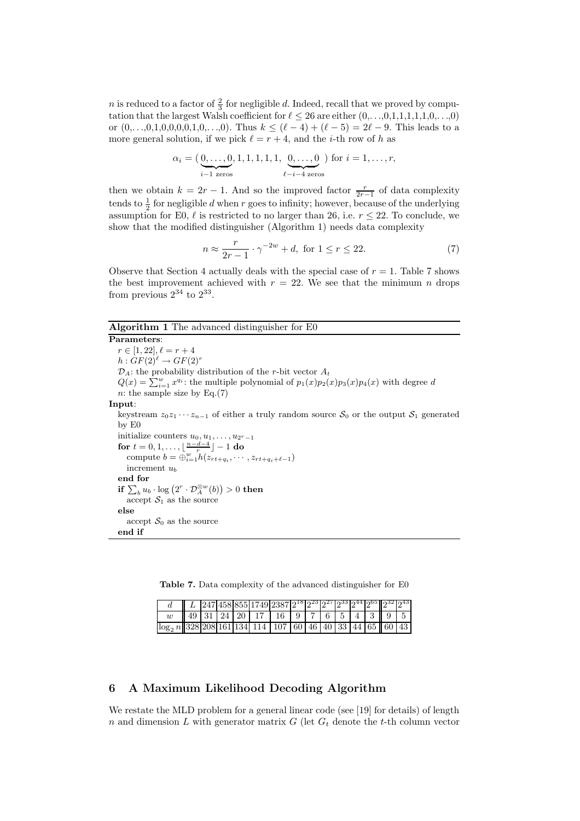*n* is reduced to a factor of  $\frac{2}{3}$  for negligible *d*. Indeed, recall that we proved by computation that the largest Walsh coefficient for  $\ell \leq 26$  are either  $(0,\ldots,0,1,1,1,1,1,0,\ldots,0)$ or  $(0,\ldots,0,1,0,0,0,0,1,0,\ldots,0)$ . Thus  $k \leq (\ell-4) + (\ell-5) = 2\ell - 9$ . This leads to a more general solution, if we pick  $\ell = r + 4$ , and the *i*-th row of h as

$$
\alpha_i = (\underbrace{0, \ldots, 0}_{i-1 \text{ zeros}}, 1, 1, 1, 1, 1, \underbrace{0, \ldots, 0}_{\ell - i - 4 \text{ zeros}})
$$
 for  $i = 1, \ldots, r$ ,

then we obtain  $k = 2r - 1$ . And so the improved factor  $\frac{r}{2r-1}$  of data complexity tends to  $\frac{1}{2}$  for negligible d when r goes to infinity; however, because of the underlying assumption for E0,  $\ell$  is restricted to no larger than 26, i.e.  $r \leq 22$ . To conclude, we show that the modified distinguisher (Algorithm 1) needs data complexity

$$
n \approx \frac{r}{2r - 1} \cdot \gamma^{-2w} + d, \text{ for } 1 \le r \le 22. \tag{7}
$$

Observe that Section 4 actually deals with the special case of  $r = 1$ . Table 7 shows the best improvement achieved with  $r = 22$ . We see that the minimum n drops from previous  $2^{34}$  to  $2^{33}$ .

# Algorithm 1 The advanced distinguisher for E0

Parameters:  $r \in [1, 22], \ell = r + 4$  $h: GF(2)^{\ell} \rightarrow GF(2)^{r}$  $\mathcal{D}_A$ : the probability distribution of the r-bit vector  $A_t$  $Q(x) = \sum_{i=1}^{w} x^{q_i}$ : the multiple polynomial of  $p_1(x)p_2(x)p_3(x)p_4(x)$  with degree d n: the sample size by  $Eq.(7)$ Input: keystream  $z_0z_1 \cdots z_{n-1}$  of either a truly random source  $S_0$  or the output  $S_1$  generated by E0 initialize counters  $u_0, u_1, \ldots, u_{2^r-1}$ for  $t = 0, 1, \ldots, \lfloor \frac{n-d-4}{r} \rfloor - 1$  do compute  $b = \bigoplus_{i=1}^{w} h(z_{rt+q_i}, \cdots, z_{rt+q_i+\ell-1})$ increment  $u_b$ end for if  $\sum_b u_b \cdot \log \left( 2^r \cdot \mathcal{D}_A^{\otimes w}(b) \right) > 0$  then accept  $S_1$  as the source else accept  $S_0$  as the source end if

Table 7. Data complexity of the advanced distinguisher for E0

|                                                                           |  |  | L  247 458 855 1749 2387 2 <sup>18</sup>  2 <sup>23</sup>  2 <sup>27</sup>  2 <sup>33</sup>  2 <sup>44</sup>  2 <sup>65</sup>   2 <sup>32</sup>  2 <sup>43</sup> |  |  |  |  |  |
|---------------------------------------------------------------------------|--|--|------------------------------------------------------------------------------------------------------------------------------------------------------------------|--|--|--|--|--|
|                                                                           |  |  | $\parallel$ 49   31   24   20   17   16   9   7   6   5   4   3    9                                                                                             |  |  |  |  |  |
| $\log_2 n$   328  208  161  134  114  107  60  46  40  33  44  65  60  43 |  |  |                                                                                                                                                                  |  |  |  |  |  |

# 6 A Maximum Likelihood Decoding Algorithm

We restate the MLD problem for a general linear code (see [19] for details) of length n and dimension L with generator matrix G (let  $G_t$  denote the t-th column vector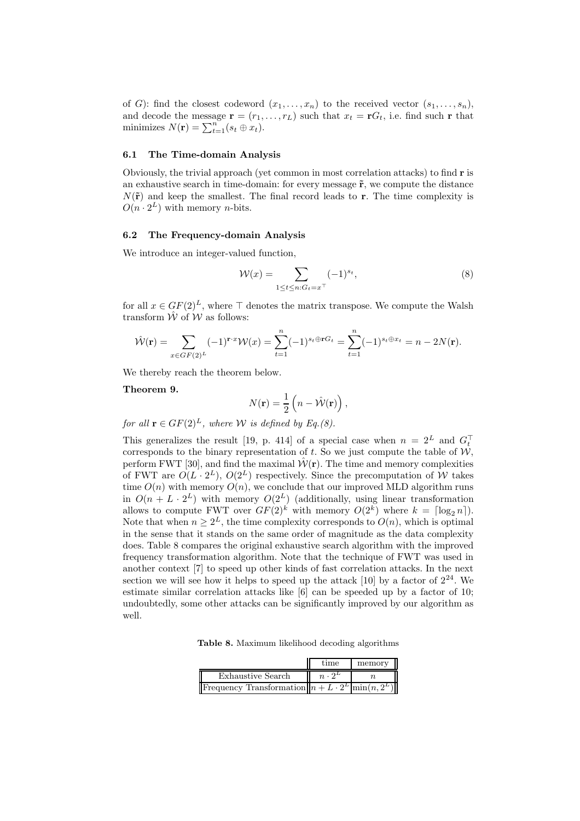of G): find the closest codeword  $(x_1, \ldots, x_n)$  to the received vector  $(s_1, \ldots, s_n)$ , and decode the message  $\mathbf{r} = (r_1, \ldots, r_L)$  such that  $x_t = \mathbf{r} G_t$ , i.e. find such r that minimizes  $N(\mathbf{r}) = \sum_{t=1}^{n} (s_t \oplus x_t).$ 

#### 6.1 The Time-domain Analysis

Obviously, the trivial approach (yet common in most correlation attacks) to find r is an exhaustive search in time-domain: for every message  $\tilde{r}$ , we compute the distance  $N(\tilde{\mathbf{r}})$  and keep the smallest. The final record leads to **r**. The time complexity is  $O(n \cdot 2^L)$  with memory *n*-bits.

#### 6.2 The Frequency-domain Analysis

We introduce an integer-valued function,

$$
\mathcal{W}(x) = \sum_{1 \le t \le n: G_t = x^\top} (-1)^{s_t},\tag{8}
$$

for all  $x \in GF(2)^{L}$ , where  $\top$  denotes the matrix transpose. We compute the Walsh transform  $\hat{W}$  of  $\hat{W}$  as follows:

$$
\hat{\mathcal{W}}(\mathbf{r}) = \sum_{x \in GF(2)^L} (-1)^{\mathbf{r} \cdot x} \mathcal{W}(x) = \sum_{t=1}^n (-1)^{s_t \oplus \mathbf{r} G_t} = \sum_{t=1}^n (-1)^{s_t \oplus x_t} = n - 2N(\mathbf{r}).
$$

We thereby reach the theorem below.

### Theorem 9.

$$
N(\mathbf{r}) = \frac{1}{2} \left( n - \hat{\mathcal{W}}(\mathbf{r}) \right),
$$

for all  $\mathbf{r} \in GF(2)^{L}$ , where W is defined by Eq.(8).

This generalizes the result [19, p. 414] of a special case when  $n = 2^L$  and  $G_t^{\dagger}$ corresponds to the binary representation of  $t$ . So we just compute the table of  $W$ , perform FWT [30], and find the maximal  $\hat{W}(\mathbf{r})$ . The time and memory complexities of FWT are  $O(L \cdot 2^L)$ ,  $O(2^L)$  respectively. Since the precomputation of W takes time  $O(n)$  with memory  $O(n)$ , we conclude that our improved MLD algorithm runs in  $O(n + L \cdot 2^L)$  with memory  $O(2^L)$  (additionally, using linear transformation allows to compute FWT over  $GF(2)^k$  with memory  $O(2^k)$  where  $k = \lceil \log_2 n \rceil$ . Note that when  $n \geq 2^L$ , the time complexity corresponds to  $O(n)$ , which is optimal in the sense that it stands on the same order of magnitude as the data complexity does. Table 8 compares the original exhaustive search algorithm with the improved frequency transformation algorithm. Note that the technique of FWT was used in another context [7] to speed up other kinds of fast correlation attacks. In the next section we will see how it helps to speed up the attack  $[10]$  by a factor of  $2^{24}$ . We estimate similar correlation attacks like [6] can be speeded up by a factor of 10; undoubtedly, some other attacks can be significantly improved by our algorithm as well.

Table 8. Maximum likelihood decoding algorithms

|                                                                        | time          | memory |
|------------------------------------------------------------------------|---------------|--------|
| Exhaustive Search                                                      | $n \cdot 2^L$ |        |
| Frequency Transformation $  n + L \cdot 2^L \overline{\min(n, 2^L)}  $ |               |        |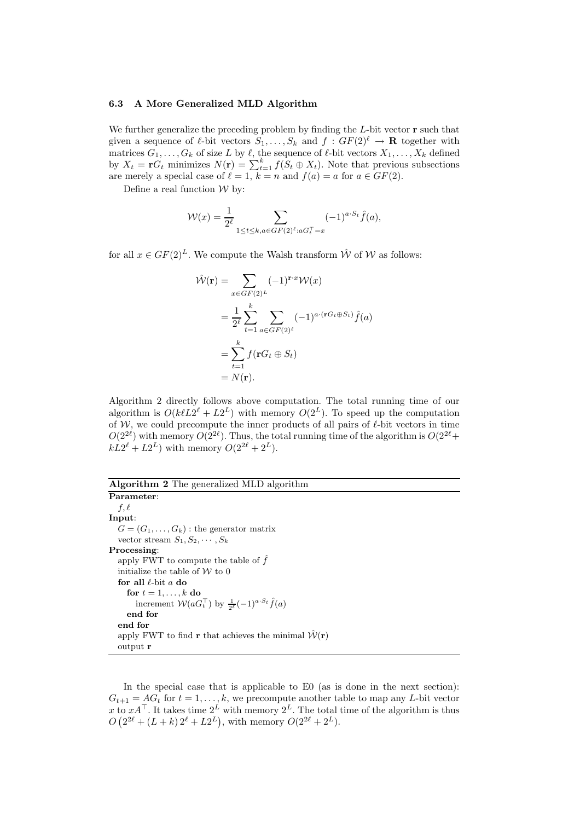#### 6.3 A More Generalized MLD Algorithm

We further generalize the preceding problem by finding the  $L$ -bit vector  $\mathbf r$  such that given a sequence of  $\ell$ -bit vectors  $S_1, \ldots, S_k$  and  $f : GF(2)^{\ell} \to \mathbf{R}$  together with matrices  $G_1, \ldots, G_k$  of size L by  $\ell$ , the sequence of  $\ell$ -bit vectors  $X_1, \ldots, X_k$  defined by  $X_t = \mathbf{r} G_t$  minimizes  $N(\mathbf{r}) = \sum_{t=1}^k f(S_t \oplus X_t)$ . Note that previous subsections are merely a special case of  $\ell = 1, k = n$  and  $f(a) = a$  for  $a \in GF(2)$ .

Define a real function  $W$  by:

$$
\mathcal{W}(x) = \frac{1}{2^{\ell}} \sum_{1 \le t \le k, a \in GF(2)^{\ell}: aG_{t}^{T} = x} (-1)^{a \cdot S_{t}} \hat{f}(a),
$$

for all  $x \in GF(2)^{L}$ . We compute the Walsh transform  $\hat{W}$  of W as follows:

$$
\hat{\mathcal{W}}(\mathbf{r}) = \sum_{x \in GF(2)^L} (-1)^{\mathbf{r} \cdot x} \mathcal{W}(x)
$$

$$
= \frac{1}{2^{\ell}} \sum_{t=1}^{k} \sum_{a \in GF(2)^{\ell}} (-1)^{a \cdot (\mathbf{r} G_t \oplus S_t)} \hat{f}(a)
$$

$$
= \sum_{t=1}^{k} f(\mathbf{r} G_t \oplus S_t)
$$

$$
= N(\mathbf{r}).
$$

Algorithm 2 directly follows above computation. The total running time of our algorithm is  $O(k\ell L2^{\ell} + L2^{L})$  with memory  $O(2^{L})$ . To speed up the computation of  $W$ , we could precompute the inner products of all pairs of  $\ell$ -bit vectors in time  $O(2^{2\ell})$  with memory  $O(2^{2\ell})$ . Thus, the total running time of the algorithm is  $O(2^{2\ell} +$  $kL2^{\ell} + L2^{L}$  with memory  $O(2^{2\ell} + 2^{L}).$ 

## Algorithm 2 The generalized MLD algorithm Parameter:

```
f, \ellInput:
  G = (G_1, \ldots, G_k): the generator matrix
   vector stream S_1, S_2, \cdots, S_kProcessing:
   apply FWT to compute the table of \hat{f}initialize the table of \mathcal W to 0
   for all \ell-bit a do
     for t = 1, \ldots, k do
         increment W(aG_t^{\top}) by \frac{1}{2^{\ell}}(-1)^{a \cdot S_t} \hat{f}(a)end for
   end for
   apply FWT to find r that achieves the minimal \hat{\mathcal{W}}(\mathbf{r})output r
```
In the special case that is applicable to E0 (as is done in the next section):  $G_{t+1} = AG_t$  for  $t = 1, ..., k$ , we precompute another table to map any L-bit vector x to  $xA^{\top}$ . It takes time  $2^L$  with memory  $2^L$ . The total time of the algorithm is thus  $O(2^{2\ell} + (L + k) 2^{\ell} + L2^{L}),$  with memory  $O(2^{2\ell} + 2^{L}).$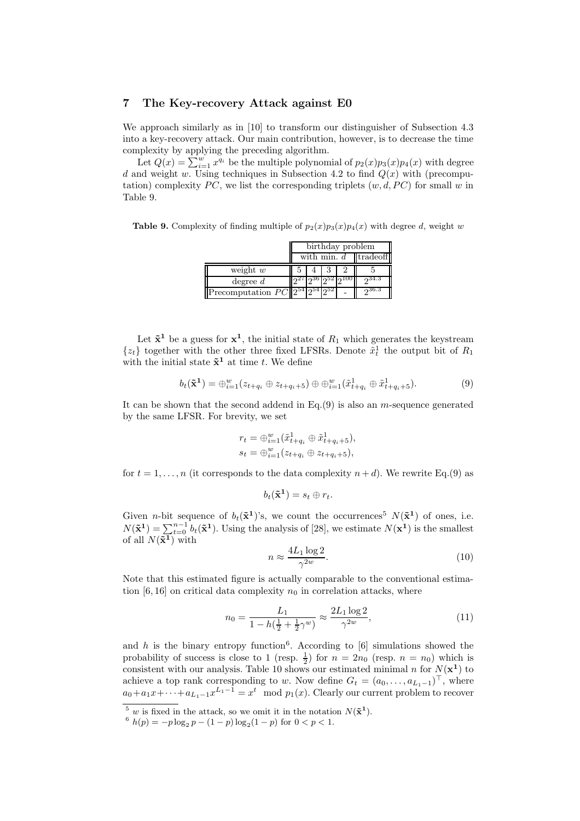# 7 The Key-recovery Attack against E0

We approach similarly as in [10] to transform our distinguisher of Subsection 4.3 into a key-recovery attack. Our main contribution, however, is to decrease the time complexity by applying the preceding algorithm.

Let  $Q(x) = \sum_{i=1}^{w} x^{q_i}$  be the multiple polynomial of  $p_2(x)p_3(x)p_4(x)$  with degree d and weight w. Using techniques in Subsection 4.2 to find  $Q(x)$  with (precomputation) complexity  $PC$ , we list the corresponding triplets  $(w, d, PC)$  for small w in Table 9.

**Table 9.** Complexity of finding multiple of  $p_2(x)p_3(x)p_4(x)$  with degree d, weight w

|                                           |                        |           |  | birthday problem |  |  |
|-------------------------------------------|------------------------|-----------|--|------------------|--|--|
|                                           | with min. $d$ tradeoff |           |  |                  |  |  |
| weight $w$                                |                        |           |  |                  |  |  |
| degree $d$                                |                        | ച്36 ച്32 |  | 234.3            |  |  |
| Precomputation $PC  2^{54} 2^{54} 2^{52}$ |                        |           |  | $2^{36.3}$       |  |  |

Let  $\tilde{\mathbf{x}}^1$  be a guess for  $\mathbf{x}^1$ , the initial state of  $R_1$  which generates the keystream  $\{z_t\}$  together with the other three fixed LFSRs. Denote  $\tilde{x}_t^1$  the output bit of  $R_1$ with the initial state  $\tilde{\mathbf{x}}^1$  at time t. We define

$$
b_t(\tilde{\mathbf{x}}^1) = \bigoplus_{i=1}^w (z_{t+q_i} \oplus z_{t+q_i+5}) \oplus \bigoplus_{i=1}^w (\tilde{x}_{t+q_i}^1 \oplus \tilde{x}_{t+q_i+5}^1). \tag{9}
$$

It can be shown that the second addend in  $Eq.(9)$  is also an *m*-sequence generated by the same LFSR. For brevity, we set

$$
r_{t} = \bigoplus_{i=1}^{w} (\tilde{x}_{t+q_{i}}^{1} \oplus \tilde{x}_{t+q_{i}+5}^{1}),
$$
  

$$
s_{t} = \bigoplus_{i=1}^{w} (z_{t+q_{i}} \oplus z_{t+q_{i}+5}),
$$

for  $t = 1, \ldots, n$  (it corresponds to the data complexity  $n + d$ ). We rewrite Eq.(9) as

$$
b_t(\tilde{\mathbf{x}}^1) = s_t \oplus r_t.
$$

Given *n*-bit sequence of  $b_t(\tilde{\mathbf{x}}^1)$ 's, we count the occurrences<sup>5</sup>  $N(\tilde{\mathbf{x}}^1)$  of ones, i.e.  $N(\tilde{\mathbf{x}}^1) = \sum_{t=0}^{n-1} b_t(\tilde{\mathbf{x}}^1)$ . Using the analysis of [28], we estimate  $N(\mathbf{x}^1)$  is the smallest of all  $N(\mathbf{\overline{x}^1})$  with

$$
n \approx \frac{4L_1 \log 2}{\gamma^{2w}}.\tag{10}
$$

Note that this estimated figure is actually comparable to the conventional estimation [6, 16] on critical data complexity  $n_0$  in correlation attacks, where

$$
n_0 = \frac{L_1}{1 - h(\frac{1}{2} + \frac{1}{2}\gamma^w)} \approx \frac{2L_1 \log 2}{\gamma^{2w}},\tag{11}
$$

and h is the binary entropy function<sup>6</sup>. According to [6] simulations showed the probability of success is close to 1 (resp.  $\frac{1}{2}$ ) for  $n = 2n_0$  (resp.  $n = n_0$ ) which is consistent with our analysis. Table 10 shows our estimated minimal n for  $N(\mathbf{x}^1)$  to achieve a top rank corresponding to w. Now define  $G_t = (a_0, \ldots, a_{L_1-1})^\top$ , where  $a_0 + a_1x + \cdots + a_{L_1-1}x^{L_1-1} = x^t \mod p_1(x)$ . Clearly our current problem to recover

<sup>&</sup>lt;sup>5</sup> w is fixed in the attack, so we omit it in the notation  $N(\tilde{\mathbf{x}}^1)$ .

 $6 h(p) = -p \log_2 p - (1-p) \log_2 (1-p)$  for  $0 < p < 1$ .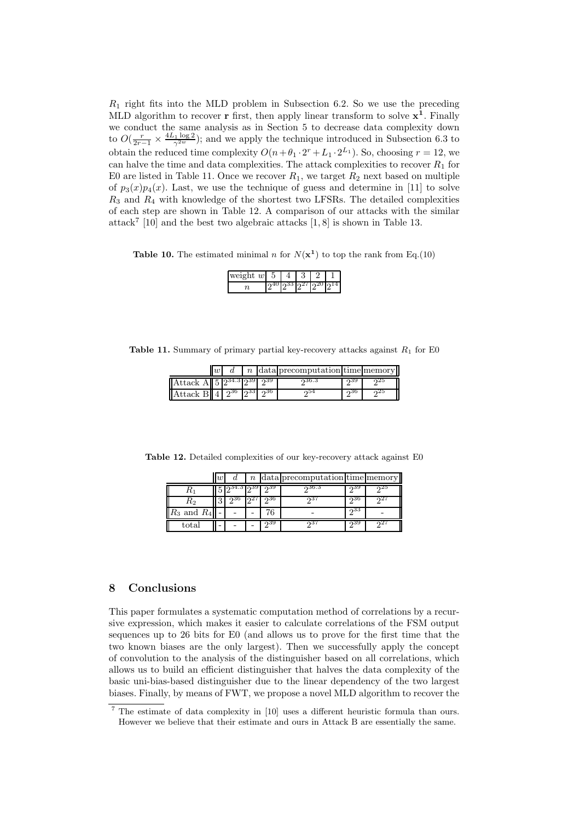$R_1$  right fits into the MLD problem in Subsection 6.2. So we use the preceding MLD algorithm to recover **r** first, then apply linear transform to solve  $x^1$ . Finally we conduct the same analysis as in Section 5 to decrease data complexity down to  $O(\frac{r}{2r-1} \times \frac{4L_1 \log 2}{\gamma^{2w}})$ ; and we apply the technique introduced in Subsection 6.3 to obtain the reduced time complexity  $O(n + \theta_1 \cdot 2^r + L_1 \cdot 2^{L_1})$ . So, choosing  $r = 12$ , we can halve the time and data complexities. The attack complexities to recover  $R_1$  for E0 are listed in Table 11. Once we recover  $R_1$ , we target  $R_2$  next based on multiple of  $p_3(x)p_4(x)$ . Last, we use the technique of guess and determine in [11] to solve  $R_3$  and  $R_4$  with knowledge of the shortest two LFSRs. The detailed complexities of each step are shown in Table 12. A comparison of our attacks with the similar attack 7 [10] and the best two algebraic attacks [1, 8] is shown in Table 13.

**Table 10.** The estimated minimal n for  $N(\mathbf{x}^1)$  to top the rank from Eq.(10)

| <br>Э |  |  |
|-------|--|--|
|       |  |  |

**Table 11.** Summary of primary partial key-recovery attacks against  $R_1$  for E0

|                                                                                                                           | $\overline{u}$ |  | <i>n</i> data precomputation time memory |     |     |
|---------------------------------------------------------------------------------------------------------------------------|----------------|--|------------------------------------------|-----|-----|
| Attack A $\vert$ 5 $\vert 2^{34.3} \vert 2^{39} \vert 2^{39} \vert$                                                       |                |  | ი36.3                                    | ച്ച | ച്ച |
| $\text{Attack } \text{B} \text{I} \text{I} \text{I} \text{I} \text{I}^{36} \text{I} \text{I}^{33} \text{I} \text{I}^{36}$ |                |  | ഹാ4                                      | ഹാ  | പ്പ |

Table 12. Detailed complexities of our key-recovery attack against E0

|                 | w | u |    |     | $n$ data precomputation time memory |       |  |
|-----------------|---|---|----|-----|-------------------------------------|-------|--|
| $\mathbf{u}_1$  |   |   | ഹാ |     | ი36.3                               | റാട   |  |
| K2              |   |   |    | ი36 | ഹ                                   | പ്പ36 |  |
| $R_3$ and $R_4$ |   |   |    |     |                                     | ი33   |  |
| total           |   |   |    | ი39 | ച3≟                                 | പാഴ   |  |

## 8 Conclusions

This paper formulates a systematic computation method of correlations by a recursive expression, which makes it easier to calculate correlations of the FSM output sequences up to 26 bits for E0 (and allows us to prove for the first time that the two known biases are the only largest). Then we successfully apply the concept of convolution to the analysis of the distinguisher based on all correlations, which allows us to build an efficient distinguisher that halves the data complexity of the basic uni-bias-based distinguisher due to the linear dependency of the two largest biases. Finally, by means of FWT, we propose a novel MLD algorithm to recover the

<sup>7</sup> The estimate of data complexity in [10] uses a different heuristic formula than ours. However we believe that their estimate and ours in Attack B are essentially the same.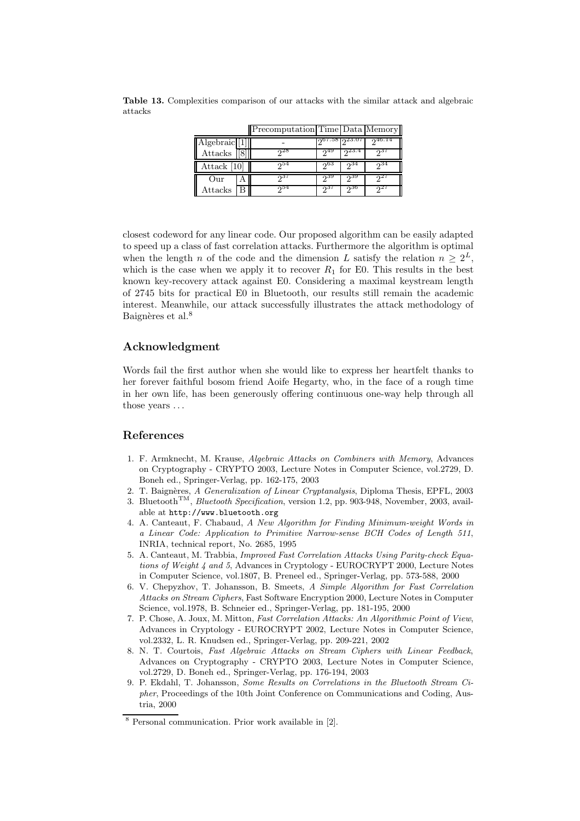|               | Precomputation Time Data Memory |                  |          |     |
|---------------|---------------------------------|------------------|----------|-----|
| Algebraic [1] |                                 | ე67.58 ე $23.07$ |          |     |
| Attacks       | $2^{28}$                        |                  | 23.4     |     |
| Attack $ 10 $ | 254                             | -ენპ             | $2^{34}$ | ი34 |
| Our           | 237                             | ი39              | - 939    |     |
| Attacks       | $2^{54}$                        | ، در،            | 250      |     |

Table 13. Complexities comparison of our attacks with the similar attack and algebraic attacks

closest codeword for any linear code. Our proposed algorithm can be easily adapted to speed up a class of fast correlation attacks. Furthermore the algorithm is optimal when the length n of the code and the dimension L satisfy the relation  $n \geq 2^L$ , which is the case when we apply it to recover  $R_1$  for E0. This results in the best known key-recovery attack against E0. Considering a maximal keystream length of 2745 bits for practical E0 in Bluetooth, our results still remain the academic interest. Meanwhile, our attack successfully illustrates the attack methodology of Baignères et al.<sup>8</sup>

# Acknowledgment

Words fail the first author when she would like to express her heartfelt thanks to her forever faithful bosom friend Aoife Hegarty, who, in the face of a rough time in her own life, has been generously offering continuous one-way help through all those years ...

# References

- 1. F. Armknecht, M. Krause, Algebraic Attacks on Combiners with Memory, Advances on Cryptography - CRYPTO 2003, Lecture Notes in Computer Science, vol.2729, D. Boneh ed., Springer-Verlag, pp. 162-175, 2003
- 2. T. Baignères, A Generalization of Linear Cryptanalysis, Diploma Thesis, EPFL, 2003
- 3. Bluetooth<sup>TM</sup>, *Bluetooth Specification*, version 1.2, pp. 903-948, November, 2003, available at http://www.bluetooth.org
- 4. A. Canteaut, F. Chabaud, A New Algorithm for Finding Minimum-weight Words in a Linear Code: Application to Primitive Narrow-sense BCH Codes of Length 511, INRIA, technical report, No. 2685, 1995
- 5. A. Canteaut, M. Trabbia, Improved Fast Correlation Attacks Using Parity-check Equations of Weight 4 and 5, Advances in Cryptology - EUROCRYPT 2000, Lecture Notes in Computer Science, vol.1807, B. Preneel ed., Springer-Verlag, pp. 573-588, 2000
- 6. V. Chepyzhov, T. Johansson, B. Smeets, A Simple Algorithm for Fast Correlation Attacks on Stream Ciphers, Fast Software Encryption 2000, Lecture Notes in Computer Science, vol.1978, B. Schneier ed., Springer-Verlag, pp. 181-195, 2000
- 7. P. Chose, A. Joux, M. Mitton, Fast Correlation Attacks: An Algorithmic Point of View, Advances in Cryptology - EUROCRYPT 2002, Lecture Notes in Computer Science, vol.2332, L. R. Knudsen ed., Springer-Verlag, pp. 209-221, 2002
- 8. N. T. Courtois, Fast Algebraic Attacks on Stream Ciphers with Linear Feedback, Advances on Cryptography - CRYPTO 2003, Lecture Notes in Computer Science, vol.2729, D. Boneh ed., Springer-Verlag, pp. 176-194, 2003
- 9. P. Ekdahl, T. Johansson, Some Results on Correlations in the Bluetooth Stream Cipher, Proceedings of the 10th Joint Conference on Communications and Coding, Austria, 2000

<sup>8</sup> Personal communication. Prior work available in [2].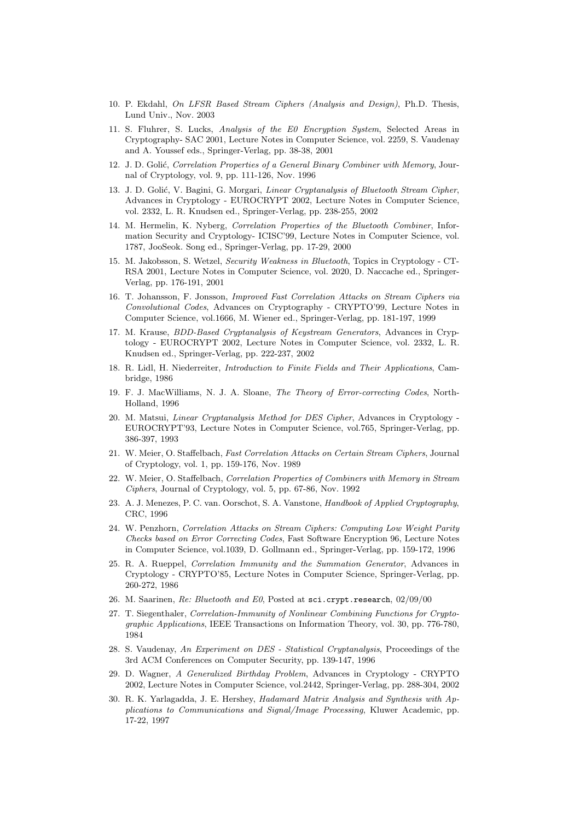- 10. P. Ekdahl, On LFSR Based Stream Ciphers (Analysis and Design), Ph.D. Thesis, Lund Univ., Nov. 2003
- 11. S. Fluhrer, S. Lucks, Analysis of the E0 Encryption System, Selected Areas in Cryptography- SAC 2001, Lecture Notes in Computer Science, vol. 2259, S. Vaudenay and A. Youssef eds., Springer-Verlag, pp. 38-38, 2001
- 12. J. D. Golić, Correlation Properties of a General Binary Combiner with Memory, Journal of Cryptology, vol. 9, pp. 111-126, Nov. 1996
- 13. J. D. Golić, V. Bagini, G. Morgari, Linear Cryptanalysis of Bluetooth Stream Cipher, Advances in Cryptology - EUROCRYPT 2002, Lecture Notes in Computer Science, vol. 2332, L. R. Knudsen ed., Springer-Verlag, pp. 238-255, 2002
- 14. M. Hermelin, K. Nyberg, Correlation Properties of the Bluetooth Combiner, Information Security and Cryptology- ICISC'99, Lecture Notes in Computer Science, vol. 1787, JooSeok. Song ed., Springer-Verlag, pp. 17-29, 2000
- 15. M. Jakobsson, S. Wetzel, Security Weakness in Bluetooth, Topics in Cryptology CT-RSA 2001, Lecture Notes in Computer Science, vol. 2020, D. Naccache ed., Springer-Verlag, pp. 176-191, 2001
- 16. T. Johansson, F. Jonsson, Improved Fast Correlation Attacks on Stream Ciphers via Convolutional Codes, Advances on Cryptography - CRYPTO'99, Lecture Notes in Computer Science, vol.1666, M. Wiener ed., Springer-Verlag, pp. 181-197, 1999
- 17. M. Krause, BDD-Based Cryptanalysis of Keystream Generators, Advances in Cryptology - EUROCRYPT 2002, Lecture Notes in Computer Science, vol. 2332, L. R. Knudsen ed., Springer-Verlag, pp. 222-237, 2002
- 18. R. Lidl, H. Niederreiter, Introduction to Finite Fields and Their Applications, Cambridge, 1986
- 19. F. J. MacWilliams, N. J. A. Sloane, The Theory of Error-correcting Codes, North-Holland, 1996
- 20. M. Matsui, Linear Cryptanalysis Method for DES Cipher, Advances in Cryptology EUROCRYPT'93, Lecture Notes in Computer Science, vol.765, Springer-Verlag, pp. 386-397, 1993
- 21. W. Meier, O. Staffelbach, Fast Correlation Attacks on Certain Stream Ciphers, Journal of Cryptology, vol. 1, pp. 159-176, Nov. 1989
- 22. W. Meier, O. Staffelbach, Correlation Properties of Combiners with Memory in Stream Ciphers, Journal of Cryptology, vol. 5, pp. 67-86, Nov. 1992
- 23. A. J. Menezes, P. C. van. Oorschot, S. A. Vanstone, Handbook of Applied Cryptography, CRC, 1996
- 24. W. Penzhorn, Correlation Attacks on Stream Ciphers: Computing Low Weight Parity Checks based on Error Correcting Codes, Fast Software Encryption 96, Lecture Notes in Computer Science, vol.1039, D. Gollmann ed., Springer-Verlag, pp. 159-172, 1996
- 25. R. A. Rueppel, Correlation Immunity and the Summation Generator, Advances in Cryptology - CRYPTO'85, Lecture Notes in Computer Science, Springer-Verlag, pp. 260-272, 1986
- 26. M. Saarinen, Re: Bluetooth and E0, Posted at sci.crypt.research, 02/09/00
- 27. T. Siegenthaler, Correlation-Immunity of Nonlinear Combining Functions for Cryptographic Applications, IEEE Transactions on Information Theory, vol. 30, pp. 776-780, 1984
- 28. S. Vaudenay, An Experiment on DES Statistical Cryptanalysis, Proceedings of the 3rd ACM Conferences on Computer Security, pp. 139-147, 1996
- 29. D. Wagner, A Generalized Birthday Problem, Advances in Cryptology CRYPTO 2002, Lecture Notes in Computer Science, vol.2442, Springer-Verlag, pp. 288-304, 2002
- 30. R. K. Yarlagadda, J. E. Hershey, Hadamard Matrix Analysis and Synthesis with Applications to Communications and Signal/Image Processing, Kluwer Academic, pp. 17-22, 1997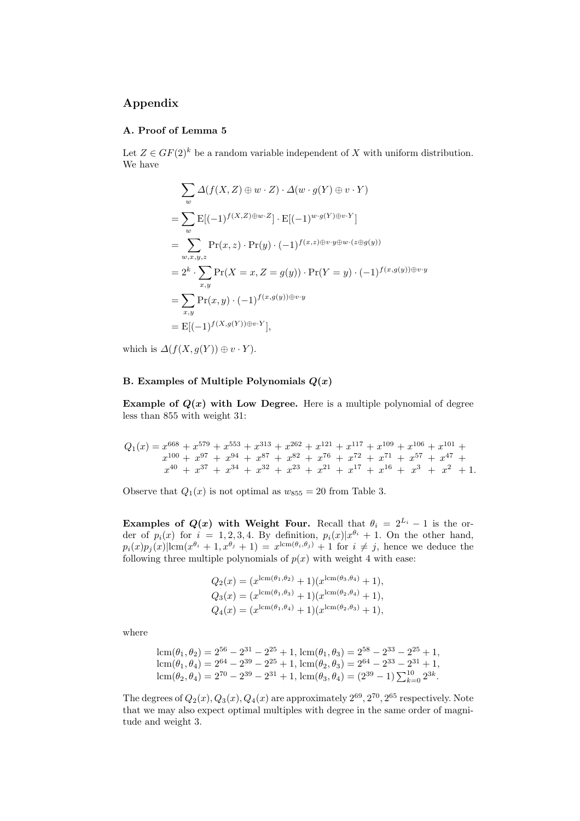# Appendix

### A. Proof of Lemma 5

Let  $Z \in GF(2)^k$  be a random variable independent of X with uniform distribution. We have

$$
\sum_{w} \Delta(f(X, Z) \oplus w \cdot Z) \cdot \Delta(w \cdot g(Y) \oplus v \cdot Y)
$$
\n
$$
= \sum_{w} \mathbf{E}[(-1)^{f(X, Z) \oplus w \cdot Z}] \cdot \mathbf{E}[(-1)^{w \cdot g(Y) \oplus v \cdot Y}]
$$
\n
$$
= \sum_{w, x, y, z} \Pr(x, z) \cdot \Pr(y) \cdot (-1)^{f(x, z) \oplus v \cdot y \oplus w \cdot (z \oplus g(y))}
$$
\n
$$
= 2^{k} \cdot \sum_{x, y} \Pr(X = x, Z = g(y)) \cdot \Pr(Y = y) \cdot (-1)^{f(x, g(y)) \oplus v \cdot y}
$$
\n
$$
= \sum_{x, y} \Pr(x, y) \cdot (-1)^{f(x, g(y)) \oplus v \cdot y}
$$
\n
$$
= \mathbf{E}[(-1)^{f(X, g(Y)) \oplus v \cdot Y}],
$$

which is  $\Delta(f(X, g(Y)) \oplus v \cdot Y)$ .

# B. Examples of Multiple Polynomials  $Q(x)$

Example of  $Q(x)$  with Low Degree. Here is a multiple polynomial of degree less than 855 with weight 31:

$$
Q_1(x) = x^{668} + x^{579} + x^{553} + x^{313} + x^{262} + x^{121} + x^{117} + x^{109} + x^{106} + x^{101} + x^{100} + x^{97} + x^{94} + x^{87} + x^{82} + x^{76} + x^{72} + x^{71} + x^{57} + x^{47} + x^{40} + x^{37} + x^{34} + x^{32} + x^{23} + x^{21} + x^{17} + x^{16} + x^{3} + x^{2} + 1.
$$

Observe that  $Q_1(x)$  is not optimal as  $w_{855} = 20$  from Table 3.

Examples of  $Q(x)$  with Weight Four. Recall that  $\theta_i = 2^{L_i} - 1$  is the order of  $p_i(x)$  for  $i = 1, 2, 3, 4$ . By definition,  $p_i(x)|x^{\theta_i} + 1$ . On the other hand,  $p_i(x)p_j(x)|\text{lcm}(x^{\theta_i}+1,x^{\theta_j}+1)=x^{\text{lcm}(\theta_i,\theta_j)}+1$  for  $i \neq j$ , hence we deduce the following three multiple polynomials of  $p(x)$  with weight 4 with ease:

$$
Q_2(x) = (x^{\text{lcm}(\theta_1, \theta_2)} + 1)(x^{\text{lcm}(\theta_3, \theta_4)} + 1),
$$
  
\n
$$
Q_3(x) = (x^{\text{lcm}(\theta_1, \theta_3)} + 1)(x^{\text{lcm}(\theta_2, \theta_4)} + 1),
$$
  
\n
$$
Q_4(x) = (x^{\text{lcm}(\theta_1, \theta_4)} + 1)(x^{\text{lcm}(\theta_2, \theta_3)} + 1),
$$

where

$$
lcm(\theta_1, \theta_2) = 2^{56} - 2^{31} - 2^{25} + 1, lcm(\theta_1, \theta_3) = 2^{58} - 2^{33} - 2^{25} + 1, lcm(\theta_1, \theta_4) = 2^{64} - 2^{39} - 2^{25} + 1, lcm(\theta_2, \theta_3) = 2^{64} - 2^{33} - 2^{31} + 1, lcm(\theta_2, \theta_4) = 2^{70} - 2^{39} - 2^{31} + 1, lcm(\theta_3, \theta_4) = (2^{39} - 1) \sum_{k=0}^{10} 2^{3k}.
$$

The degrees of  $Q_2(x)$ ,  $Q_3(x)$ ,  $Q_4(x)$  are approximately  $2^{69}$ ,  $2^{70}$ ,  $2^{65}$  respectively. Note that we may also expect optimal multiples with degree in the same order of magnitude and weight 3.